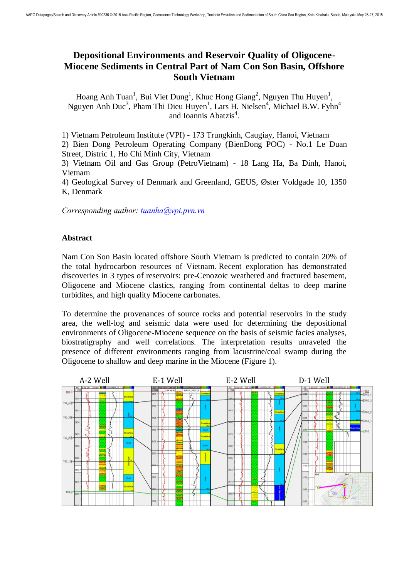## **Depositional Environments and Reservoir Quality of Oligocene-Miocene Sediments in Central Part of Nam Con Son Basin, Offshore South Vietnam**

Hoang Anh Tuan<sup>1</sup>, Bui Viet Dung<sup>1</sup>, Khuc Hong Giang<sup>2</sup>, Nguyen Thu Huyen<sup>1</sup>, Nguyen Anh Duc<sup>3</sup>, Pham Thi Dieu Huyen<sup>1</sup>, Lars H. Nielsen<sup>4</sup>, Michael B.W. Fyhn<sup>4</sup> and Ioannis Abatzis<sup>4</sup>.

1) Vietnam Petroleum Institute (VPI) - 173 Trungkinh, Caugiay, Hanoi, Vietnam

2) Bien Dong Petroleum Operating Company (BienDong POC) - No.1 Le Duan Street, Distric 1, Ho Chi Minh City, Vietnam

3) Vietnam Oil and Gas Group (PetroVietnam) - 18 Lang Ha, Ba Dinh, Hanoi, Vietnam

4) Geological Survey of Denmark and Greenland, GEUS, Øster Voldgade 10, 1350 K, Denmark

*Corresponding author: tuanha@vpi.pvn.vn* 

## **Abstract**

Nam Con Son Basin located offshore South Vietnam is predicted to contain 20% of the total hydrocarbon resources of Vietnam. Recent exploration has demonstrated discoveries in 3 types of reservoirs: pre-Cenozoic weathered and fractured basement, Oligocene and Miocene clastics, ranging from continental deltas to deep marine turbidites, and high quality Miocene carbonates.

To determine the provenances of source rocks and potential reservoirs in the study area, the well-log and seismic data were used for determining the depositional environments of Oligocene-Miocene sequence on the basis of seismic facies analyses, biostratigraphy and well correlations. The interpretation results unraveled the presence of different environments ranging from lacustrine/coal swamp during the Oligocene to shallow and deep marine in the Miocene (Figure 1).